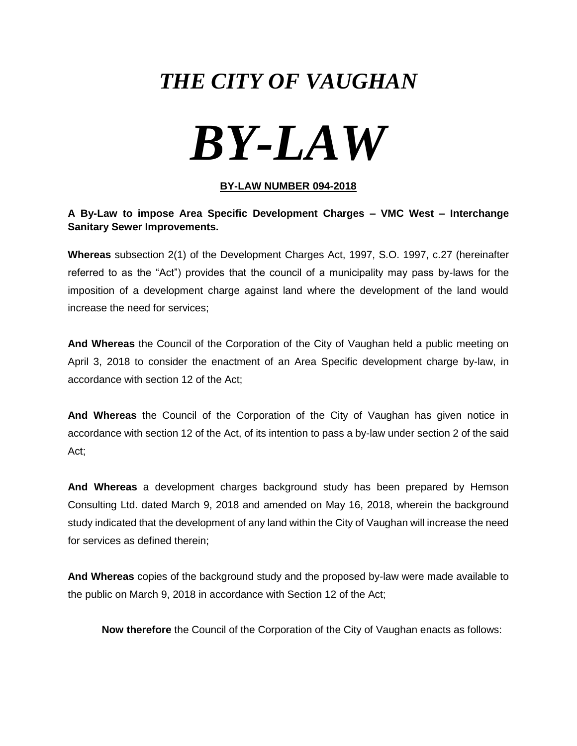## *THE CITY OF VAUGHAN*

# *BY-LAW*

#### **BY-LAW NUMBER 094-2018**

#### **A By-Law to impose Area Specific Development Charges – VMC West – Interchange Sanitary Sewer Improvements.**

**Whereas** subsection 2(1) of the Development Charges Act, 1997, S.O. 1997, c.27 (hereinafter referred to as the "Act") provides that the council of a municipality may pass by-laws for the imposition of a development charge against land where the development of the land would increase the need for services;

**And Whereas** the Council of the Corporation of the City of Vaughan held a public meeting on April 3, 2018 to consider the enactment of an Area Specific development charge by-law, in accordance with section 12 of the Act;

**And Whereas** the Council of the Corporation of the City of Vaughan has given notice in accordance with section 12 of the Act, of its intention to pass a by-law under section 2 of the said Act;

**And Whereas** a development charges background study has been prepared by Hemson Consulting Ltd. dated March 9, 2018 and amended on May 16, 2018, wherein the background study indicated that the development of any land within the City of Vaughan will increase the need for services as defined therein;

**And Whereas** copies of the background study and the proposed by-law were made available to the public on March 9, 2018 in accordance with Section 12 of the Act;

**Now therefore** the Council of the Corporation of the City of Vaughan enacts as follows: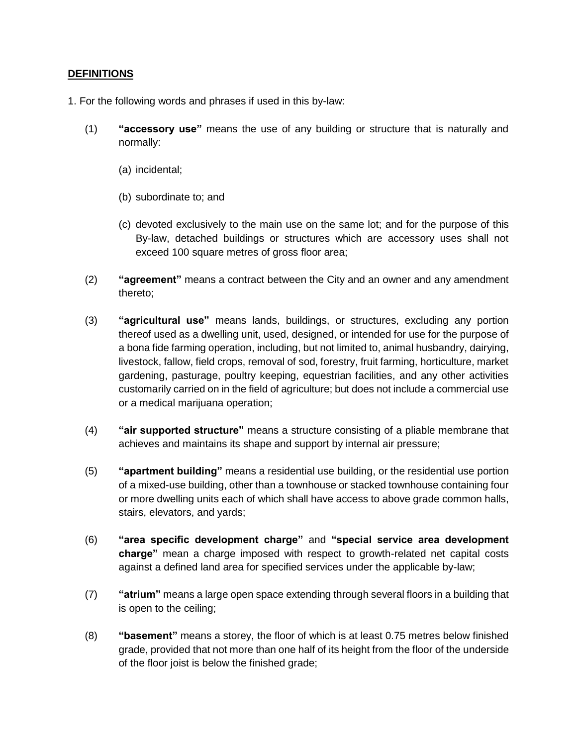#### **DEFINITIONS**

- 1. For the following words and phrases if used in this by-law:
	- (1) **"accessory use"** means the use of any building or structure that is naturally and normally:
		- (a) incidental;
		- (b) subordinate to; and
		- (c) devoted exclusively to the main use on the same lot; and for the purpose of this By-law, detached buildings or structures which are accessory uses shall not exceed 100 square metres of gross floor area;
	- (2) **"agreement"** means a contract between the City and an owner and any amendment thereto;
	- (3) **"agricultural use"** means lands, buildings, or structures, excluding any portion thereof used as a dwelling unit, used, designed, or intended for use for the purpose of a bona fide farming operation, including, but not limited to, animal husbandry, dairying, livestock, fallow, field crops, removal of sod, forestry, fruit farming, horticulture, market gardening, pasturage, poultry keeping, equestrian facilities, and any other activities customarily carried on in the field of agriculture; but does not include a commercial use or a medical marijuana operation;
	- (4) **"air supported structure"** means a structure consisting of a pliable membrane that achieves and maintains its shape and support by internal air pressure;
	- (5) **"apartment building"** means a residential use building, or the residential use portion of a mixed-use building, other than a townhouse or stacked townhouse containing four or more dwelling units each of which shall have access to above grade common halls, stairs, elevators, and yards;
	- (6) **"area specific development charge"** and **"special service area development charge"** mean a charge imposed with respect to growth-related net capital costs against a defined land area for specified services under the applicable by-law;
	- (7) **"atrium"** means a large open space extending through several floors in a building that is open to the ceiling;
	- (8) **"basement"** means a storey, the floor of which is at least 0.75 metres below finished grade, provided that not more than one half of its height from the floor of the underside of the floor joist is below the finished grade;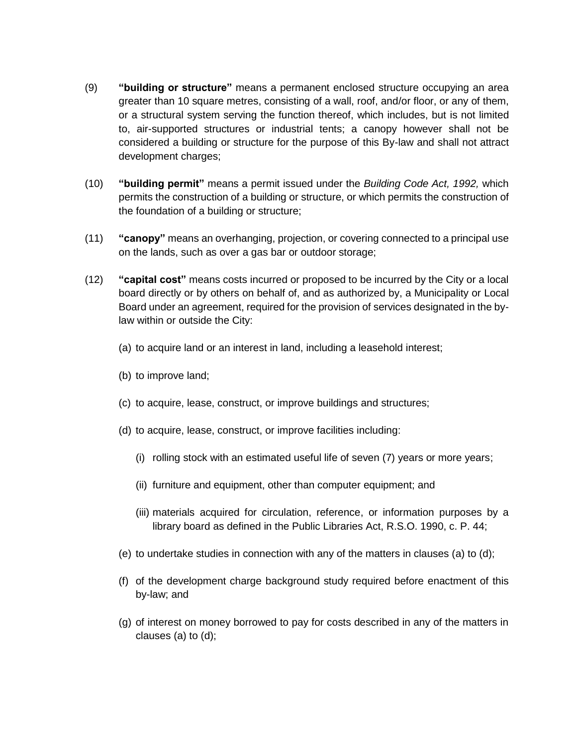- (9) **"building or structure"** means a permanent enclosed structure occupying an area greater than 10 square metres, consisting of a wall, roof, and/or floor, or any of them, or a structural system serving the function thereof, which includes, but is not limited to, air-supported structures or industrial tents; a canopy however shall not be considered a building or structure for the purpose of this By-law and shall not attract development charges;
- (10) **"building permit"** means a permit issued under the *Building Code Act, 1992,* which permits the construction of a building or structure, or which permits the construction of the foundation of a building or structure;
- (11) **"canopy"** means an overhanging, projection, or covering connected to a principal use on the lands, such as over a gas bar or outdoor storage;
- (12) **"capital cost"** means costs incurred or proposed to be incurred by the City or a local board directly or by others on behalf of, and as authorized by, a Municipality or Local Board under an agreement, required for the provision of services designated in the bylaw within or outside the City:
	- (a) to acquire land or an interest in land, including a leasehold interest;
	- (b) to improve land;
	- (c) to acquire, lease, construct, or improve buildings and structures;
	- (d) to acquire, lease, construct, or improve facilities including:
		- (i) rolling stock with an estimated useful life of seven (7) years or more years;
		- (ii) furniture and equipment, other than computer equipment; and
		- (iii) materials acquired for circulation, reference, or information purposes by a library board as defined in the Public Libraries Act, R.S.O. 1990, c. P. 44;
	- (e) to undertake studies in connection with any of the matters in clauses (a) to (d);
	- (f) of the development charge background study required before enactment of this by-law; and
	- (g) of interest on money borrowed to pay for costs described in any of the matters in clauses (a) to (d);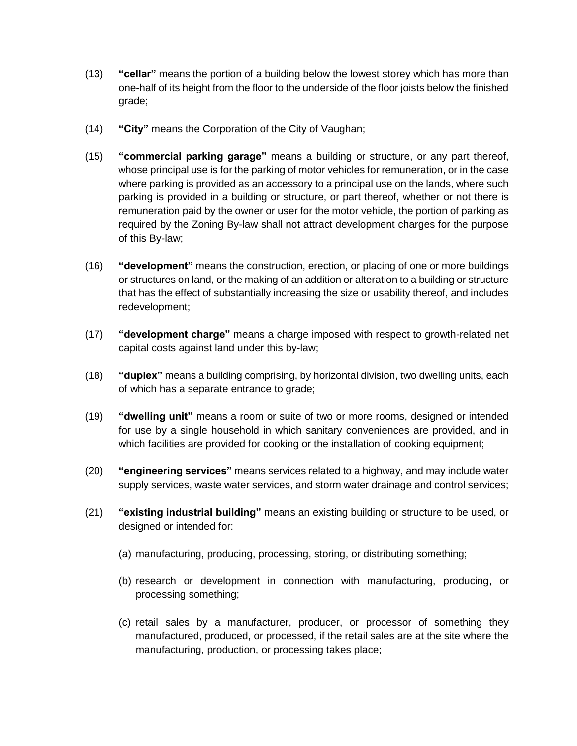- (13) **"cellar"** means the portion of a building below the lowest storey which has more than one-half of its height from the floor to the underside of the floor joists below the finished grade;
- (14) **"City"** means the Corporation of the City of Vaughan;
- (15) **"commercial parking garage"** means a building or structure, or any part thereof, whose principal use is for the parking of motor vehicles for remuneration, or in the case where parking is provided as an accessory to a principal use on the lands, where such parking is provided in a building or structure, or part thereof, whether or not there is remuneration paid by the owner or user for the motor vehicle, the portion of parking as required by the Zoning By-law shall not attract development charges for the purpose of this By-law;
- (16) **"development"** means the construction, erection, or placing of one or more buildings or structures on land, or the making of an addition or alteration to a building or structure that has the effect of substantially increasing the size or usability thereof, and includes redevelopment;
- (17) **"development charge"** means a charge imposed with respect to growth-related net capital costs against land under this by-law;
- (18) **"duplex"** means a building comprising, by horizontal division, two dwelling units, each of which has a separate entrance to grade;
- (19) **"dwelling unit"** means a room or suite of two or more rooms, designed or intended for use by a single household in which sanitary conveniences are provided, and in which facilities are provided for cooking or the installation of cooking equipment;
- (20) **"engineering services"** means services related to a highway, and may include water supply services, waste water services, and storm water drainage and control services;
- (21) **"existing industrial building"** means an existing building or structure to be used, or designed or intended for:
	- (a) manufacturing, producing, processing, storing, or distributing something;
	- (b) research or development in connection with manufacturing, producing, or processing something;
	- (c) retail sales by a manufacturer, producer, or processor of something they manufactured, produced, or processed, if the retail sales are at the site where the manufacturing, production, or processing takes place;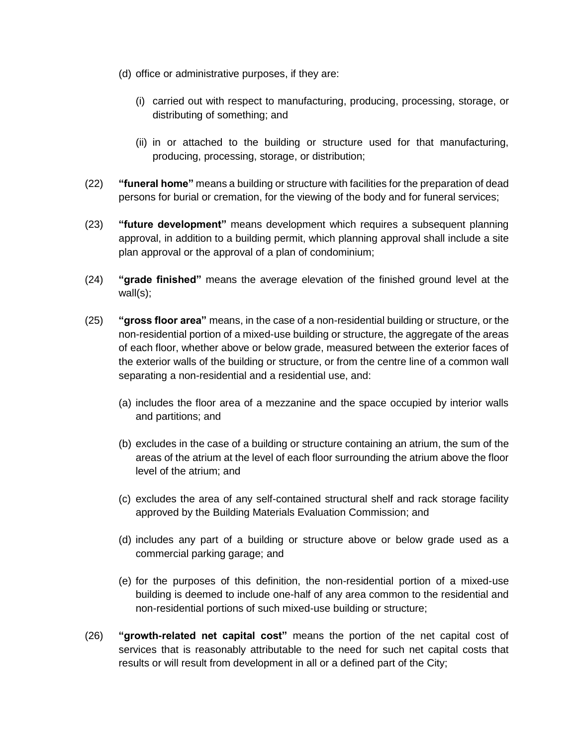- (d) office or administrative purposes, if they are:
	- (i) carried out with respect to manufacturing, producing, processing, storage, or distributing of something; and
	- (ii) in or attached to the building or structure used for that manufacturing, producing, processing, storage, or distribution;
- (22) **"funeral home"** means a building or structure with facilities for the preparation of dead persons for burial or cremation, for the viewing of the body and for funeral services;
- (23) **"future development"** means development which requires a subsequent planning approval, in addition to a building permit, which planning approval shall include a site plan approval or the approval of a plan of condominium;
- (24) **"grade finished"** means the average elevation of the finished ground level at the wall(s);
- (25) **"gross floor area"** means, in the case of a non-residential building or structure, or the non-residential portion of a mixed-use building or structure, the aggregate of the areas of each floor, whether above or below grade, measured between the exterior faces of the exterior walls of the building or structure, or from the centre line of a common wall separating a non-residential and a residential use, and:
	- (a) includes the floor area of a mezzanine and the space occupied by interior walls and partitions; and
	- (b) excludes in the case of a building or structure containing an atrium, the sum of the areas of the atrium at the level of each floor surrounding the atrium above the floor level of the atrium; and
	- (c) excludes the area of any self-contained structural shelf and rack storage facility approved by the Building Materials Evaluation Commission; and
	- (d) includes any part of a building or structure above or below grade used as a commercial parking garage; and
	- (e) for the purposes of this definition, the non-residential portion of a mixed-use building is deemed to include one-half of any area common to the residential and non-residential portions of such mixed-use building or structure;
- (26) **"growth-related net capital cost"** means the portion of the net capital cost of services that is reasonably attributable to the need for such net capital costs that results or will result from development in all or a defined part of the City;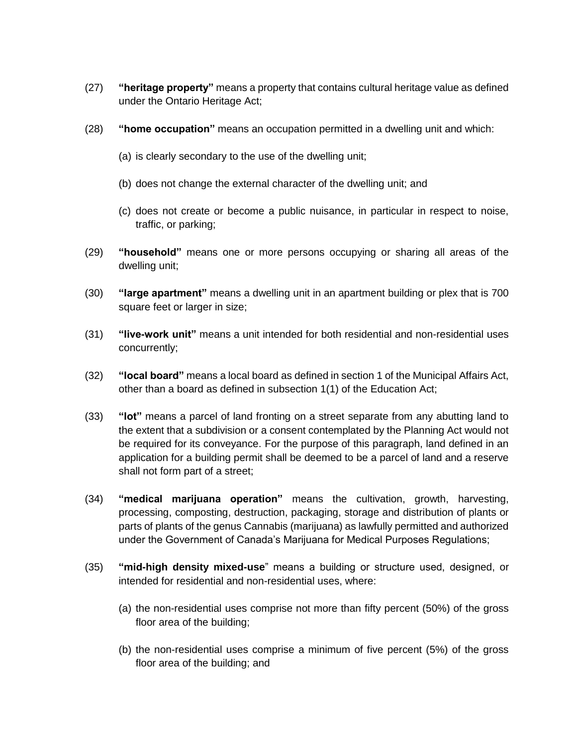- (27) **"heritage property"** means a property that contains cultural heritage value as defined under the Ontario Heritage Act;
- (28) **"home occupation"** means an occupation permitted in a dwelling unit and which:
	- (a) is clearly secondary to the use of the dwelling unit;
	- (b) does not change the external character of the dwelling unit; and
	- (c) does not create or become a public nuisance, in particular in respect to noise, traffic, or parking;
- (29) **"household"** means one or more persons occupying or sharing all areas of the dwelling unit;
- (30) **"large apartment"** means a dwelling unit in an apartment building or plex that is 700 square feet or larger in size;
- (31) **"live-work unit"** means a unit intended for both residential and non-residential uses concurrently;
- (32) **"local board"** means a local board as defined in section 1 of the Municipal Affairs Act, other than a board as defined in subsection 1(1) of the Education Act;
- (33) **"lot"** means a parcel of land fronting on a street separate from any abutting land to the extent that a subdivision or a consent contemplated by the Planning Act would not be required for its conveyance. For the purpose of this paragraph, land defined in an application for a building permit shall be deemed to be a parcel of land and a reserve shall not form part of a street;
- (34) **"medical marijuana operation"** means the cultivation, growth, harvesting, processing, composting, destruction, packaging, storage and distribution of plants or parts of plants of the genus Cannabis (marijuana) as lawfully permitted and authorized under the Government of Canada's Marijuana for Medical Purposes Regulations;
- (35) **"mid-high density mixed-use**" means a building or structure used, designed, or intended for residential and non-residential uses, where:
	- (a) the non-residential uses comprise not more than fifty percent (50%) of the gross floor area of the building;
	- (b) the non-residential uses comprise a minimum of five percent (5%) of the gross floor area of the building; and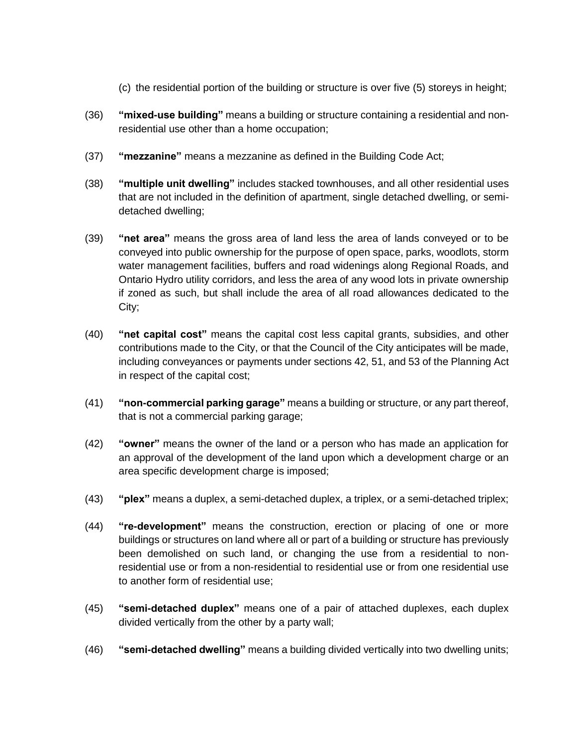- (c) the residential portion of the building or structure is over five (5) storeys in height;
- (36) **"mixed-use building"** means a building or structure containing a residential and nonresidential use other than a home occupation;
- (37) **"mezzanine"** means a mezzanine as defined in the Building Code Act;
- (38) **"multiple unit dwelling"** includes stacked townhouses, and all other residential uses that are not included in the definition of apartment, single detached dwelling, or semidetached dwelling;
- (39) **"net area"** means the gross area of land less the area of lands conveyed or to be conveyed into public ownership for the purpose of open space, parks, woodlots, storm water management facilities, buffers and road widenings along Regional Roads, and Ontario Hydro utility corridors, and less the area of any wood lots in private ownership if zoned as such, but shall include the area of all road allowances dedicated to the City;
- (40) **"net capital cost"** means the capital cost less capital grants, subsidies, and other contributions made to the City, or that the Council of the City anticipates will be made, including conveyances or payments under sections 42, 51, and 53 of the Planning Act in respect of the capital cost;
- (41) **"non-commercial parking garage"** means a building or structure, or any part thereof, that is not a commercial parking garage;
- (42) **"owner"** means the owner of the land or a person who has made an application for an approval of the development of the land upon which a development charge or an area specific development charge is imposed;
- (43) **"plex"** means a duplex, a semi-detached duplex, a triplex, or a semi-detached triplex;
- (44) **"re-development"** means the construction, erection or placing of one or more buildings or structures on land where all or part of a building or structure has previously been demolished on such land, or changing the use from a residential to nonresidential use or from a non-residential to residential use or from one residential use to another form of residential use;
- (45) **"semi-detached duplex"** means one of a pair of attached duplexes, each duplex divided vertically from the other by a party wall;
- (46) **"semi-detached dwelling"** means a building divided vertically into two dwelling units;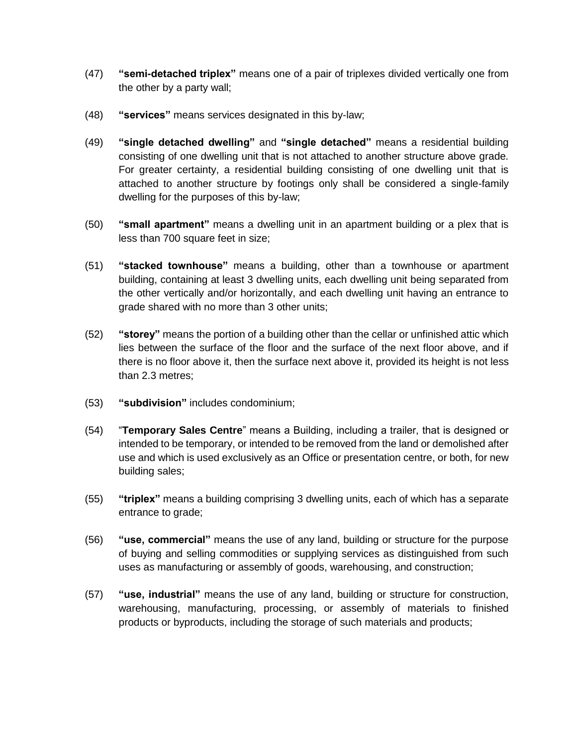- (47) **"semi-detached triplex"** means one of a pair of triplexes divided vertically one from the other by a party wall;
- (48) **"services"** means services designated in this by-law;
- (49) **"single detached dwelling"** and **"single detached"** means a residential building consisting of one dwelling unit that is not attached to another structure above grade. For greater certainty, a residential building consisting of one dwelling unit that is attached to another structure by footings only shall be considered a single-family dwelling for the purposes of this by-law;
- (50) **"small apartment"** means a dwelling unit in an apartment building or a plex that is less than 700 square feet in size;
- (51) **"stacked townhouse"** means a building, other than a townhouse or apartment building, containing at least 3 dwelling units, each dwelling unit being separated from the other vertically and/or horizontally, and each dwelling unit having an entrance to grade shared with no more than 3 other units;
- (52) **"storey"** means the portion of a building other than the cellar or unfinished attic which lies between the surface of the floor and the surface of the next floor above, and if there is no floor above it, then the surface next above it, provided its height is not less than 2.3 metres;
- (53) **"subdivision"** includes condominium;
- (54) "**Temporary Sales Centre**" means a Building, including a trailer, that is designed or intended to be temporary, or intended to be removed from the land or demolished after use and which is used exclusively as an Office or presentation centre, or both, for new building sales;
- (55) **"triplex"** means a building comprising 3 dwelling units, each of which has a separate entrance to grade;
- (56) **"use, commercial"** means the use of any land, building or structure for the purpose of buying and selling commodities or supplying services as distinguished from such uses as manufacturing or assembly of goods, warehousing, and construction;
- (57) **"use, industrial"** means the use of any land, building or structure for construction, warehousing, manufacturing, processing, or assembly of materials to finished products or byproducts, including the storage of such materials and products;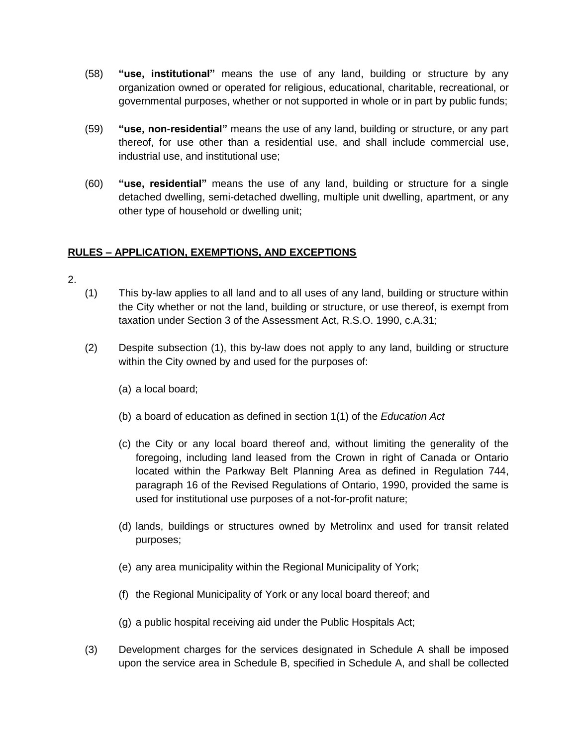- (58) **"use, institutional"** means the use of any land, building or structure by any organization owned or operated for religious, educational, charitable, recreational, or governmental purposes, whether or not supported in whole or in part by public funds;
- (59) **"use, non-residential"** means the use of any land, building or structure, or any part thereof, for use other than a residential use, and shall include commercial use, industrial use, and institutional use;
- (60) **"use, residential"** means the use of any land, building or structure for a single detached dwelling, semi-detached dwelling, multiple unit dwelling, apartment, or any other type of household or dwelling unit;

#### **RULES – APPLICATION, EXEMPTIONS, AND EXCEPTIONS**

- 2.
- (1) This by-law applies to all land and to all uses of any land, building or structure within the City whether or not the land, building or structure, or use thereof, is exempt from taxation under Section 3 of the Assessment Act, R.S.O. 1990, c.A.31;
- (2) Despite subsection (1), this by-law does not apply to any land, building or structure within the City owned by and used for the purposes of:
	- (a) a local board;
	- (b) a board of education as defined in section 1(1) of the *Education Act*
	- (c) the City or any local board thereof and, without limiting the generality of the foregoing, including land leased from the Crown in right of Canada or Ontario located within the Parkway Belt Planning Area as defined in Regulation 744, paragraph 16 of the Revised Regulations of Ontario, 1990, provided the same is used for institutional use purposes of a not-for-profit nature;
	- (d) lands, buildings or structures owned by Metrolinx and used for transit related purposes;
	- (e) any area municipality within the Regional Municipality of York;
	- (f) the Regional Municipality of York or any local board thereof; and
	- (g) a public hospital receiving aid under the Public Hospitals Act;
- (3) Development charges for the services designated in Schedule A shall be imposed upon the service area in Schedule B, specified in Schedule A, and shall be collected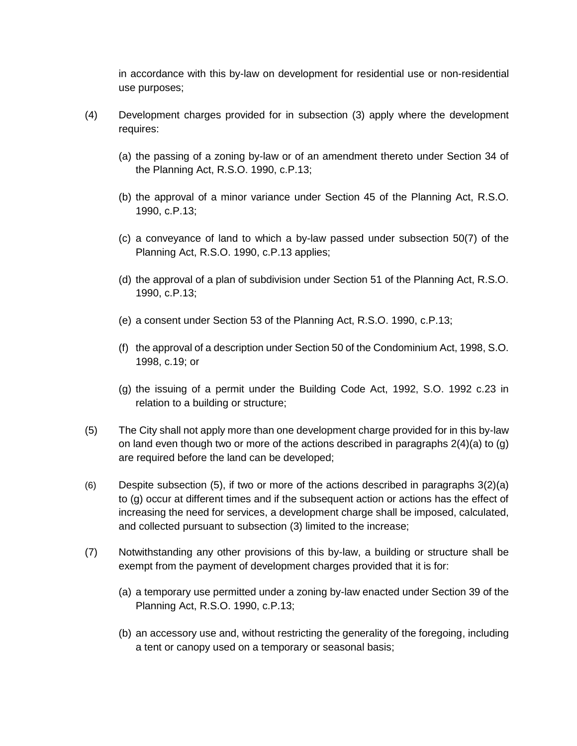in accordance with this by-law on development for residential use or non-residential use purposes;

- (4) Development charges provided for in subsection (3) apply where the development requires:
	- (a) the passing of a zoning by-law or of an amendment thereto under Section 34 of the Planning Act, R.S.O. 1990, c.P.13;
	- (b) the approval of a minor variance under Section 45 of the Planning Act, R.S.O. 1990, c.P.13;
	- (c) a conveyance of land to which a by-law passed under subsection 50(7) of the Planning Act, R.S.O. 1990, c.P.13 applies;
	- (d) the approval of a plan of subdivision under Section 51 of the Planning Act, R.S.O. 1990, c.P.13;
	- (e) a consent under Section 53 of the Planning Act, R.S.O. 1990, c.P.13;
	- (f) the approval of a description under Section 50 of the Condominium Act, 1998, S.O. 1998, c.19; or
	- (g) the issuing of a permit under the Building Code Act, 1992, S.O. 1992 c.23 in relation to a building or structure;
- (5) The City shall not apply more than one development charge provided for in this by-law on land even though two or more of the actions described in paragraphs 2(4)(a) to (g) are required before the land can be developed;
- (6) Despite subsection (5), if two or more of the actions described in paragraphs 3(2)(a) to (g) occur at different times and if the subsequent action or actions has the effect of increasing the need for services, a development charge shall be imposed, calculated, and collected pursuant to subsection (3) limited to the increase;
- (7) Notwithstanding any other provisions of this by-law, a building or structure shall be exempt from the payment of development charges provided that it is for:
	- (a) a temporary use permitted under a zoning by-law enacted under Section 39 of the Planning Act, R.S.O. 1990, c.P.13;
	- (b) an accessory use and, without restricting the generality of the foregoing, including a tent or canopy used on a temporary or seasonal basis;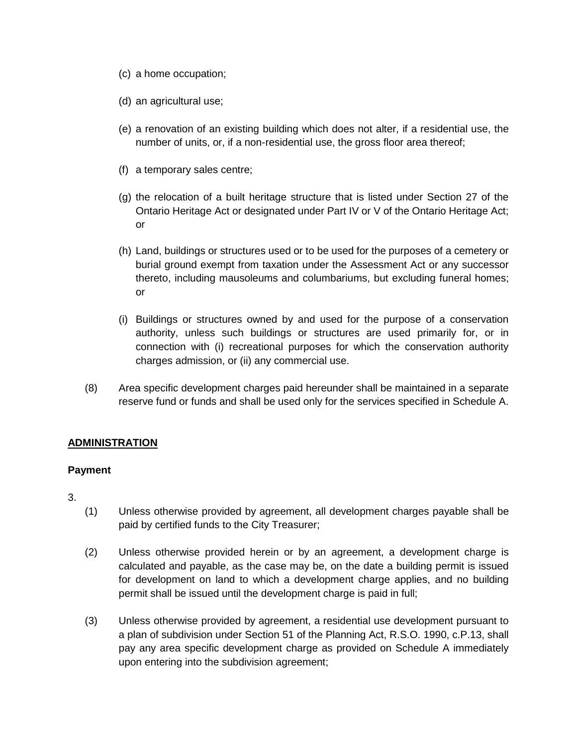- (c) a home occupation;
- (d) an agricultural use;
- (e) a renovation of an existing building which does not alter, if a residential use, the number of units, or, if a non-residential use, the gross floor area thereof;
- (f) a temporary sales centre;
- (g) the relocation of a built heritage structure that is listed under Section 27 of the Ontario Heritage Act or designated under Part IV or V of the Ontario Heritage Act; or
- (h) Land, buildings or structures used or to be used for the purposes of a cemetery or burial ground exempt from taxation under the Assessment Act or any successor thereto, including mausoleums and columbariums, but excluding funeral homes; or
- (i) Buildings or structures owned by and used for the purpose of a conservation authority, unless such buildings or structures are used primarily for, or in connection with (i) recreational purposes for which the conservation authority charges admission, or (ii) any commercial use.
- (8) Area specific development charges paid hereunder shall be maintained in a separate reserve fund or funds and shall be used only for the services specified in Schedule A.

#### **ADMINISTRATION**

#### **Payment**

- 3.
- (1) Unless otherwise provided by agreement, all development charges payable shall be paid by certified funds to the City Treasurer;
- (2) Unless otherwise provided herein or by an agreement, a development charge is calculated and payable, as the case may be, on the date a building permit is issued for development on land to which a development charge applies, and no building permit shall be issued until the development charge is paid in full;
- (3) Unless otherwise provided by agreement, a residential use development pursuant to a plan of subdivision under Section 51 of the Planning Act, R.S.O. 1990, c.P.13, shall pay any area specific development charge as provided on Schedule A immediately upon entering into the subdivision agreement;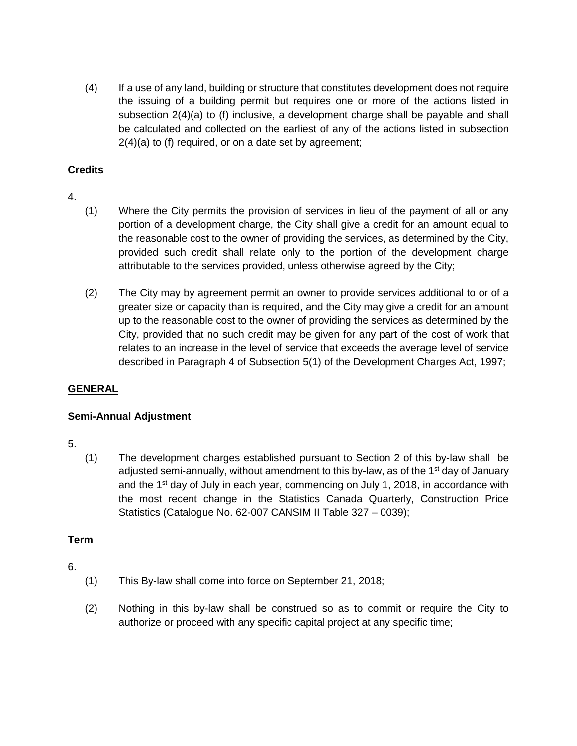(4) If a use of any land, building or structure that constitutes development does not require the issuing of a building permit but requires one or more of the actions listed in subsection 2(4)(a) to (f) inclusive, a development charge shall be payable and shall be calculated and collected on the earliest of any of the actions listed in subsection 2(4)(a) to (f) required, or on a date set by agreement;

#### **Credits**

- 4.
- (1) Where the City permits the provision of services in lieu of the payment of all or any portion of a development charge, the City shall give a credit for an amount equal to the reasonable cost to the owner of providing the services, as determined by the City, provided such credit shall relate only to the portion of the development charge attributable to the services provided, unless otherwise agreed by the City;
- (2) The City may by agreement permit an owner to provide services additional to or of a greater size or capacity than is required, and the City may give a credit for an amount up to the reasonable cost to the owner of providing the services as determined by the City, provided that no such credit may be given for any part of the cost of work that relates to an increase in the level of service that exceeds the average level of service described in Paragraph 4 of Subsection 5(1) of the Development Charges Act, 1997;

#### **GENERAL**

#### **Semi-Annual Adjustment**

- 5.
- (1) The development charges established pursuant to Section 2 of this by-law shall be adjusted semi-annually, without amendment to this by-law, as of the 1<sup>st</sup> day of January and the  $1<sup>st</sup>$  day of July in each year, commencing on July 1, 2018, in accordance with the most recent change in the Statistics Canada Quarterly, Construction Price Statistics (Catalogue No. 62-007 CANSIM II Table 327 – 0039);

#### **Term**

- 6.
- (1) This By-law shall come into force on September 21, 2018;
- (2) Nothing in this by-law shall be construed so as to commit or require the City to authorize or proceed with any specific capital project at any specific time;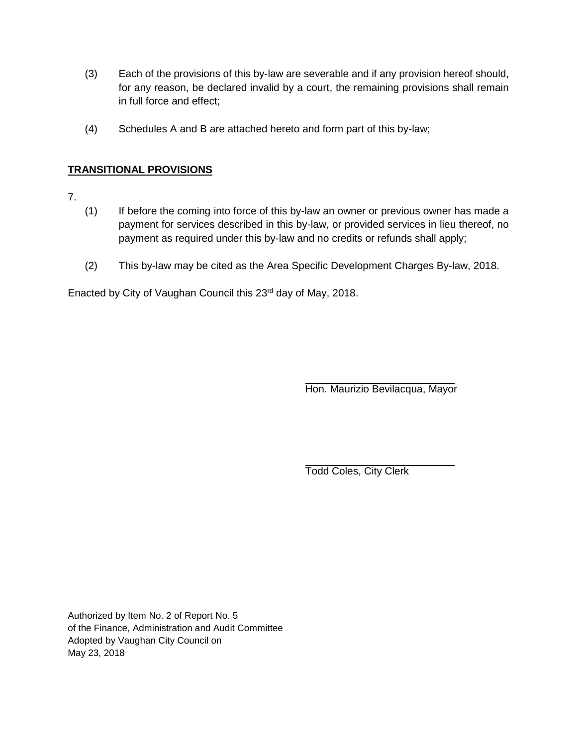- (3) Each of the provisions of this by-law are severable and if any provision hereof should, for any reason, be declared invalid by a court, the remaining provisions shall remain in full force and effect;
- (4) Schedules A and B are attached hereto and form part of this by-law;

#### **TRANSITIONAL PROVISIONS**

- 7.
- (1) If before the coming into force of this by-law an owner or previous owner has made a payment for services described in this by-law, or provided services in lieu thereof, no payment as required under this by-law and no credits or refunds shall apply;
- (2) This by-law may be cited as the Area Specific Development Charges By-law, 2018.

Enacted by City of Vaughan Council this 23rd day of May, 2018.

Hon. Maurizio Bevilacqua, Mayor

Todd Coles, City Clerk

Authorized by Item No. 2 of Report No. 5 of the Finance, Administration and Audit Committee Adopted by Vaughan City Council on May 23, 2018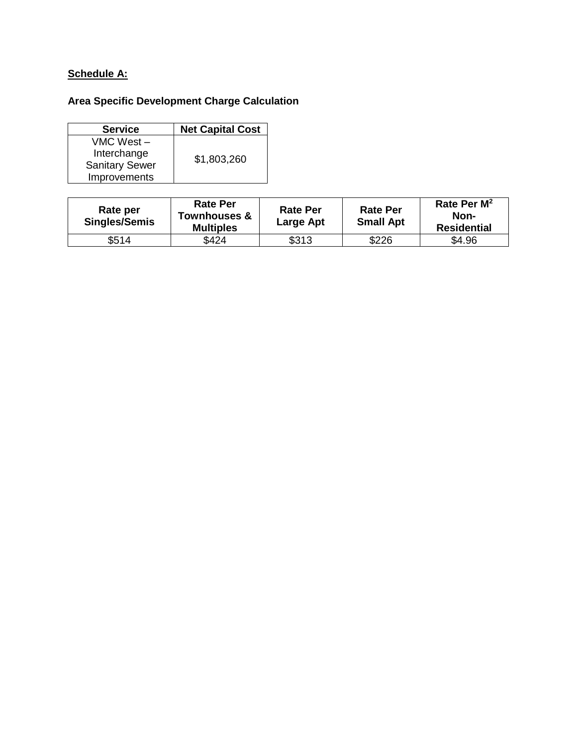#### **Schedule A:**

### **Area Specific Development Charge Calculation**

| <b>Service</b>        | <b>Net Capital Cost</b> |  |
|-----------------------|-------------------------|--|
| VMC West –            |                         |  |
| Interchange           |                         |  |
| <b>Sanitary Sewer</b> | \$1,803,260             |  |
| Improvements          |                         |  |

| Rate per<br><b>Singles/Semis</b> | <b>Rate Per</b><br>Townhouses &<br><b>Multiples</b> | <b>Rate Per</b><br>Large Apt | <b>Rate Per</b><br><b>Small Apt</b> | Rate Per $M^2$<br>Non-<br><b>Residential</b> |
|----------------------------------|-----------------------------------------------------|------------------------------|-------------------------------------|----------------------------------------------|
| \$514                            | \$424                                               | \$313                        | \$226                               | \$4.96                                       |